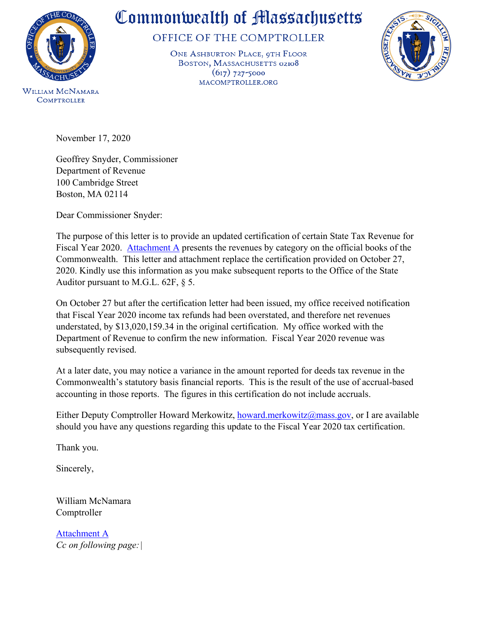

**COMPTROLLER** 

## Commonwealth of Massachusetts

OFFICE OF THE COMPTROLLER

ONE ASHBURTON PLACE, 9TH FLOOR BOSTON, MASSACHUSETTS 02108  $(617)$  727-5000 MACOMPTROLLER.ORG



November 17, 2020

Geoffrey Snyder, Commissioner Department of Revenue 100 Cambridge Street Boston, MA 02114

Dear Commissioner Snyder:

The purpose of this letter is to provide an updated certification of certain State Tax Revenue for Fiscal Year 2020. [Attachment A](http://www.macomptroller.info/comptroller/publications-and-reports/legislatively-mandated/state-tax-revenues-chapter-555/attachments/fy2020-revised-ltr-attch.xlsx) presents the revenues by category on the official books of the Commonwealth. This letter and attachment replace the certification provided on October 27, 2020. Kindly use this information as you make subsequent reports to the Office of the State Auditor pursuant to M.G.L. 62F, § 5.

On October 27 but after the certification letter had been issued, my office received notification that Fiscal Year 2020 income tax refunds had been overstated, and therefore net revenues understated, by \$13,020,159.34 in the original certification. My office worked with the Department of Revenue to confirm the new information. Fiscal Year 2020 revenue was subsequently revised.

At a later date, you may notice a variance in the amount reported for deeds tax revenue in the Commonwealth's statutory basis financial reports. This is the result of the use of accrual-based accounting in those reports. The figures in this certification do not include accruals.

Either Deputy Comptroller Howard Merkowitz, [howard.merkowitz@mass.gov,](mailto:howard.merkowitz@mass.gov) or I are available should you have any questions regarding this update to the Fiscal Year 2020 tax certification.

Thank you.

Sincerely,

William McNamara Comptroller

[Attachment A](http://www.macomptroller.info/comptroller/publications-and-reports/legislatively-mandated/state-tax-revenues-chapter-555/attachments/fy2020-revised-ltr-attch.xlsx) *Cc on following page:|*